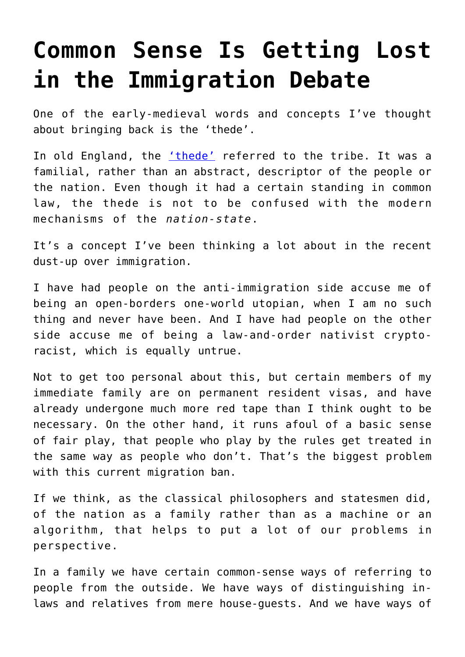## **[Common Sense Is Getting Lost](https://intellectualtakeout.org/2017/01/common-sense-is-getting-lost-in-the-immigration-debate/) [in the Immigration Debate](https://intellectualtakeout.org/2017/01/common-sense-is-getting-lost-in-the-immigration-debate/)**

One of the early-medieval words and concepts I've thought about bringing back is the 'thede'.

In old England, the *['thede'](https://en.wiktionary.org/wiki/thede)* referred to the tribe. It was a familial, rather than an abstract, descriptor of the people or the nation. Even though it had a certain standing in common law, the thede is not to be confused with the modern mechanisms of the *nation-state*.

It's a concept I've been thinking a lot about in the recent dust-up over immigration.

I have had people on the anti-immigration side accuse me of being an open-borders one-world utopian, when I am no such thing and never have been. And I have had people on the other side accuse me of being a law-and-order nativist cryptoracist, which is equally untrue.

Not to get too personal about this, but certain members of my immediate family are on permanent resident visas, and have already undergone much more red tape than I think ought to be necessary. On the other hand, it runs afoul of a basic sense of fair play, that people who play by the rules get treated in the same way as people who don't. That's the biggest problem with this current migration ban.

If we think, as the classical philosophers and statesmen did, of the nation as a family rather than as a machine or an algorithm, that helps to put a lot of our problems in perspective.

In a family we have certain common-sense ways of referring to people from the outside. We have ways of distinguishing inlaws and relatives from mere house-guests. And we have ways of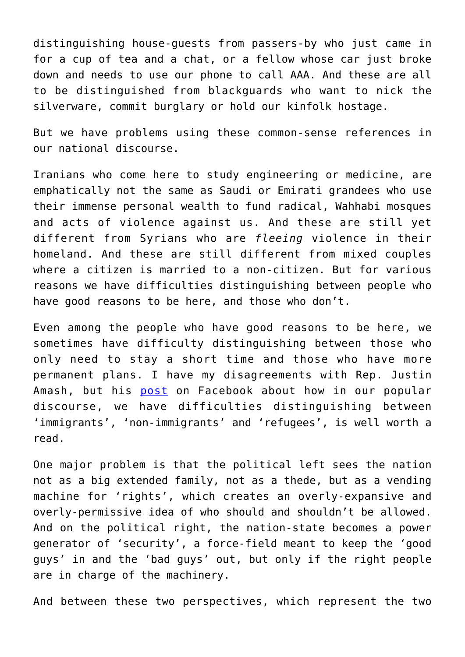distinguishing house-guests from passers-by who just came in for a cup of tea and a chat, or a fellow whose car just broke down and needs to use our phone to call AAA. And these are all to be distinguished from blackguards who want to nick the silverware, commit burglary or hold our kinfolk hostage.

But we have problems using these common-sense references in our national discourse.

Iranians who come here to study engineering or medicine, are emphatically not the same as Saudi or Emirati grandees who use their immense personal wealth to fund radical, Wahhabi mosques and acts of violence against us. And these are still yet different from Syrians who are *fleeing* violence in their homeland. And these are still different from mixed couples where a citizen is married to a non-citizen. But for various reasons we have difficulties distinguishing between people who have good reasons to be here, and those who don't.

Even among the people who have good reasons to be here, we sometimes have difficulty distinguishing between those who only need to stay a short time and those who have more permanent plans. I have my disagreements with Rep. Justin Amash, but his [post](https://www.facebook.com/justinamash/posts/1303049969734406) on Facebook about how in our popular discourse, we have difficulties distinguishing between 'immigrants', 'non-immigrants' and 'refugees', is well worth a read.

One major problem is that the political left sees the nation not as a big extended family, not as a thede, but as a vending machine for 'rights', which creates an overly-expansive and overly-permissive idea of who should and shouldn't be allowed. And on the political right, the nation-state becomes a power generator of 'security', a force-field meant to keep the 'good guys' in and the 'bad guys' out, but only if the right people are in charge of the machinery.

And between these two perspectives, which represent the two